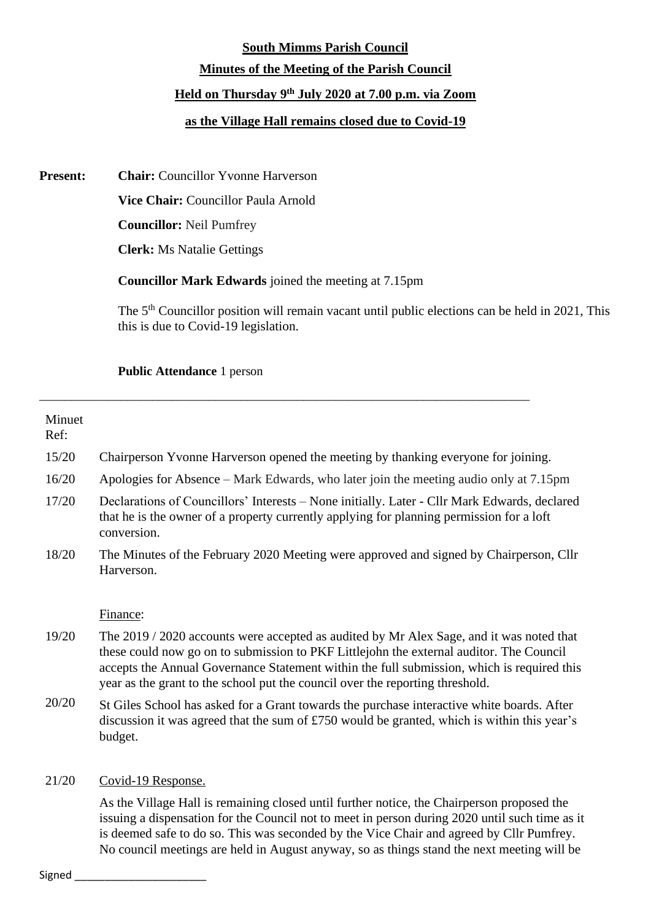# **South Mimms Parish Council Minutes of the Meeting of the Parish Council Held on Thursday 9 th July 2020 at 7.00 p.m. via Zoom as the Village Hall remains closed due to Covid-19**

**Present: Chair:** Councillor Yvonne Harverson

**Vice Chair:** Councillor Paula Arnold

**Councillor:** Neil Pumfrey

**Clerk:** Ms Natalie Gettings

**Councillor Mark Edwards** joined the meeting at 7.15pm

\_\_\_\_\_\_\_\_\_\_\_\_\_\_\_\_\_\_\_\_\_\_\_\_\_\_\_\_\_\_\_\_\_\_\_\_\_\_\_\_\_\_\_\_\_\_\_\_\_\_\_\_\_\_\_\_\_\_\_\_\_\_\_\_\_\_\_\_\_\_\_\_\_\_\_\_\_\_

The 5<sup>th</sup> Councillor position will remain vacant until public elections can be held in 2021, This this is due to Covid-19 legislation.

## **Public Attendance** 1 person

| Minuet<br>Ref: |                                                                                                                                                                                                         |
|----------------|---------------------------------------------------------------------------------------------------------------------------------------------------------------------------------------------------------|
| 15/20          | Chairperson Yvonne Harverson opened the meeting by thanking everyone for joining.                                                                                                                       |
| 16/20          | Apologies for Absence – Mark Edwards, who later join the meeting audio only at 7.15pm                                                                                                                   |
| 17/20          | Declarations of Councillors' Interests – None initially. Later - Cllr Mark Edwards, declared<br>that he is the owner of a property currently applying for planning permission for a loft<br>conversion. |
| 18/20          | The Minutes of the February 2020 Meeting were approved and signed by Chairperson, Cllr<br>Harverson.                                                                                                    |
|                | Finance:                                                                                                                                                                                                |
| 19/20          | The 2019 / 2020 accounts were accepted as audited by Mr Alex Sage, and it was noted that                                                                                                                |

- these could now go on to submission to PKF Littlejohn the external auditor. The Council accepts the Annual Governance Statement within the full submission, which is required this year as the grant to the school put the council over the reporting threshold.
- 20/20 St Giles School has asked for a Grant towards the purchase interactive white boards. After discussion it was agreed that the sum of £750 would be granted, which is within this year's budget.

## 21/20 Covid-19 Response.

As the Village Hall is remaining closed until further notice, the Chairperson proposed the issuing a dispensation for the Council not to meet in person during 2020 until such time as it is deemed safe to do so. This was seconded by the Vice Chair and agreed by Cllr Pumfrey. No council meetings are held in August anyway, so as things stand the next meeting will be